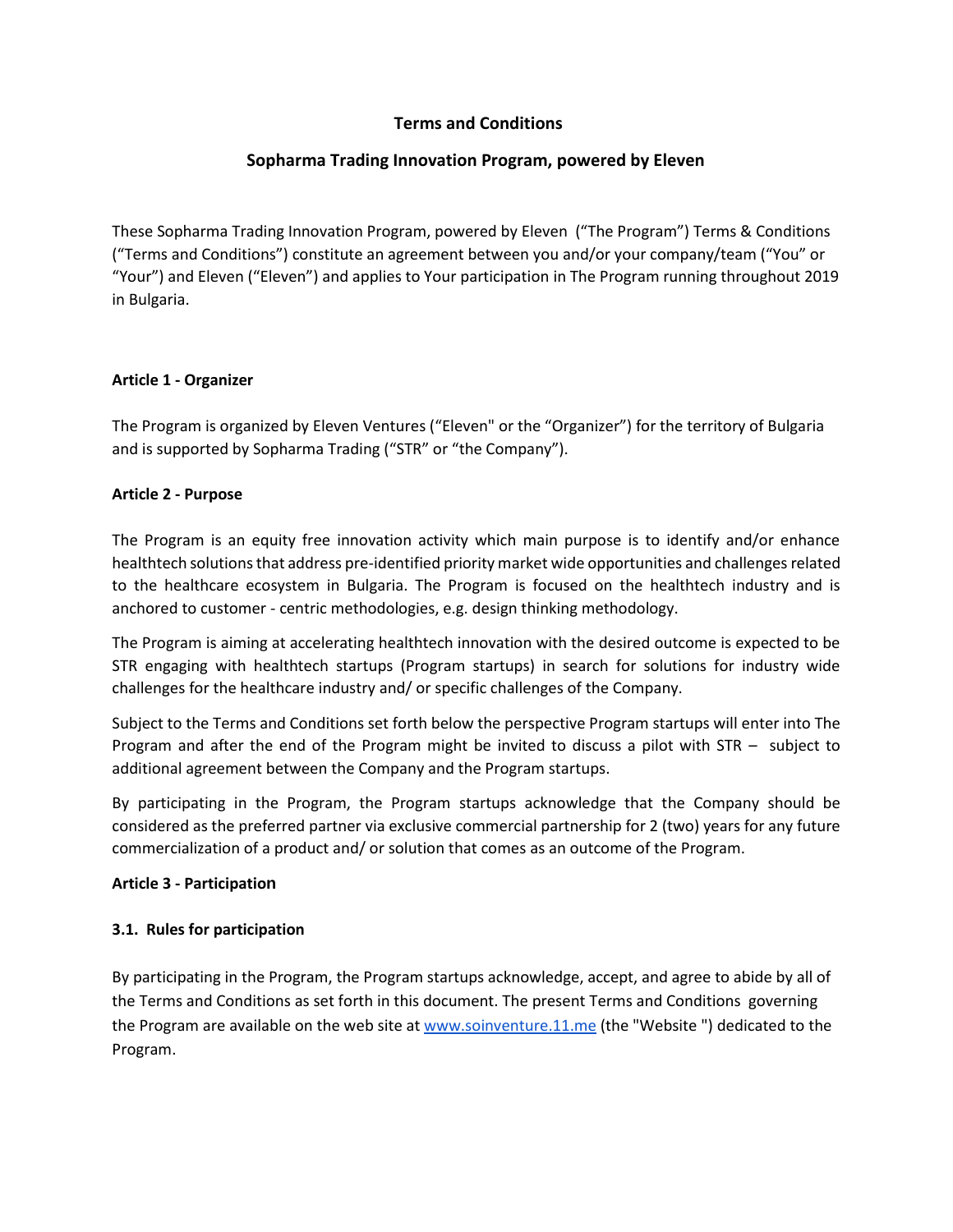# **Terms and Conditions**

# **Sopharma Trading Innovation Program, powered by Eleven**

These Sopharma Trading Innovation Program, powered by Eleven ("The Program") Terms & Conditions ("Terms and Conditions") constitute an agreement between you and/or your company/team ("You" or "Your") and Eleven ("Eleven") and applies to Your participation in The Program running throughout 2019 in Bulgaria.

### **Article 1 - Organizer**

The Program is organized by Eleven Ventures ("Eleven" or the "Organizer") for the territory of Bulgaria and is supported by Sopharma Trading ("STR" or "the Company").

#### **Article 2 - Purpose**

The Program is an equity free innovation activity which main purpose is to identify and/or enhance healthtech solutions that address pre-identified priority market wide opportunities and challenges related to the healthcare ecosystem in Bulgaria. The Program is focused on the healthtech industry and is anchored to customer - centric methodologies, e.g. design thinking methodology.

The Program is aiming at accelerating healthtech innovation with the desired outcome is expected to be STR engaging with healthtech startups (Program startups) in search for solutions for industry wide challenges for the healthcare industry and/ or specific challenges of the Company.

Subject to the Terms and Conditions set forth below the perspective Program startups will enter into The Program and after the end of the Program might be invited to discuss a pilot with STR – subject to additional agreement between the Company and the Program startups.

By participating in the Program, the Program startups acknowledge that the Company should be considered as the preferred partner via exclusive commercial partnership for 2 (two) years for any future commercialization of a product and/ or solution that comes as an outcome of the Program.

#### **Article 3 - Participation**

## **3.1. Rules for participation**

By participating in the Program, the Program startups acknowledge, accept, and agree to abide by all of the Terms and Conditions as set forth in this document. The present Terms and Conditions governing the Program are available on the web site a[t www.soinventure.11.me](http://www.soinventure.11.me/) (the "Website") dedicated to the Program.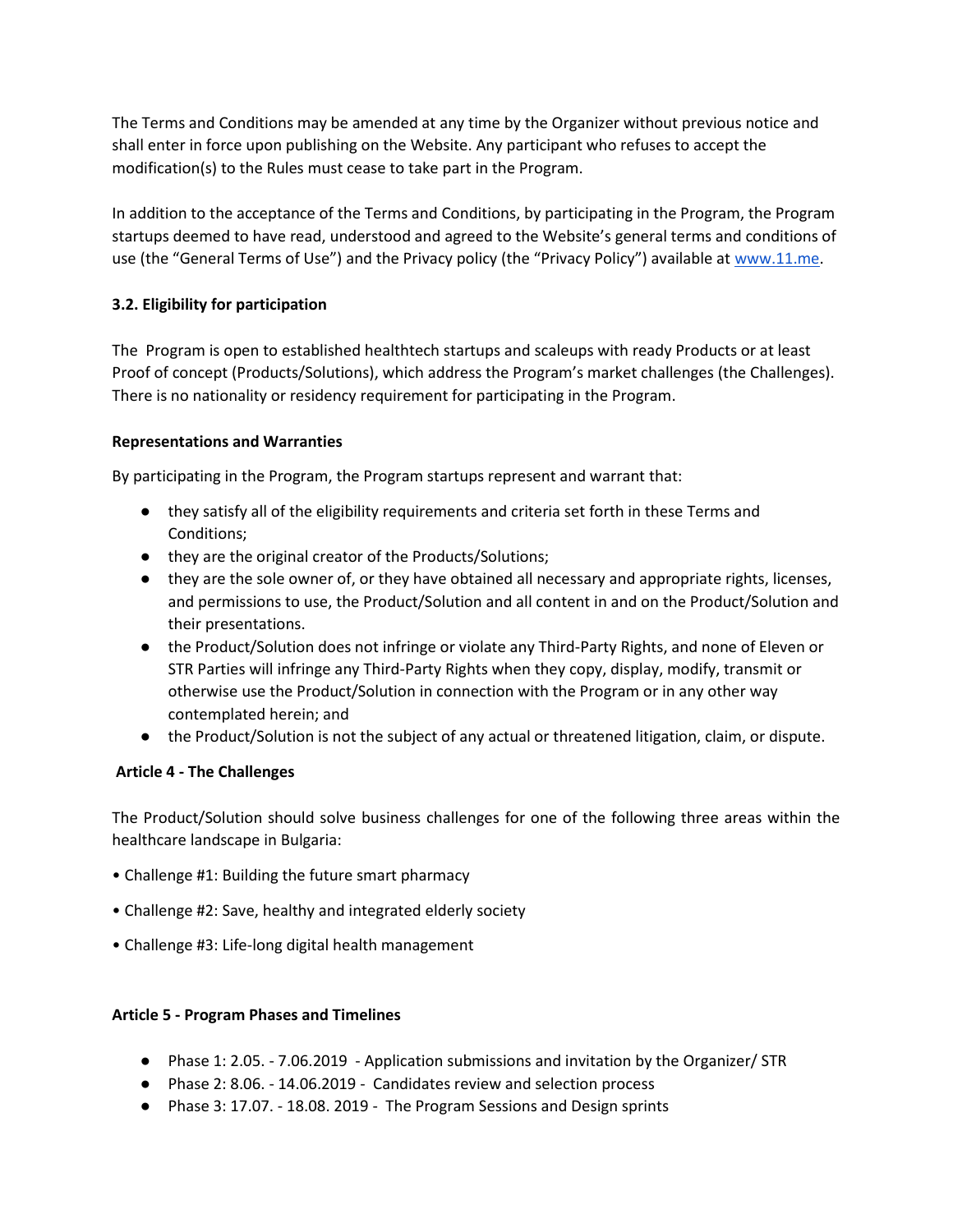The Terms and Conditions may be amended at any time by the Organizer without previous notice and shall enter in force upon publishing on the Website. Any participant who refuses to accept the modification(s) to the Rules must cease to take part in the Program.

In addition to the acceptance of the Terms and Conditions, by participating in the Program, the Program startups deemed to have read, understood and agreed to the Website's general terms and conditions of use (the "General Terms of Use") and the Privacy policy (the "Privacy Policy") available at [www.11.me.](http://www.11.me/)

# **3.2. Eligibility for participation**

The Program is open to established healthtech startups and scaleups with ready Products or at least Proof of concept (Products/Solutions), which address the Program's market challenges (the Challenges). There is no nationality or residency requirement for participating in the Program.

### **Representations and Warranties**

By participating in the Program, the Program startups represent and warrant that:

- they satisfy all of the eligibility requirements and criteria set forth in these Terms and Conditions;
- they are the original creator of the Products/Solutions;
- they are the sole owner of, or they have obtained all necessary and appropriate rights, licenses, and permissions to use, the Product/Solution and all content in and on the Product/Solution and their presentations.
- the Product/Solution does not infringe or violate any Third-Party Rights, and none of Eleven or STR Parties will infringe any Third-Party Rights when they copy, display, modify, transmit or otherwise use the Product/Solution in connection with the Program or in any other way contemplated herein; and
- the Product/Solution is not the subject of any actual or threatened litigation, claim, or dispute.

#### **Article 4 - The Challenges**

The Product/Solution should solve business challenges for one of the following three areas within the healthcare landscape in Bulgaria:

- Challenge #1: Building the future smart pharmacy
- Challenge #2: Save, healthy and integrated elderly society
- Challenge #3: Life-long digital health management

#### **Article 5 - Program Phases and Timelines**

- Phase 1: 2.05. 7.06.2019 Application submissions and invitation by the Organizer/ STR
- Phase 2: 8.06. 14.06.2019 Candidates review and selection process
- Phase 3: 17.07. 18.08. 2019 The Program Sessions and Design sprints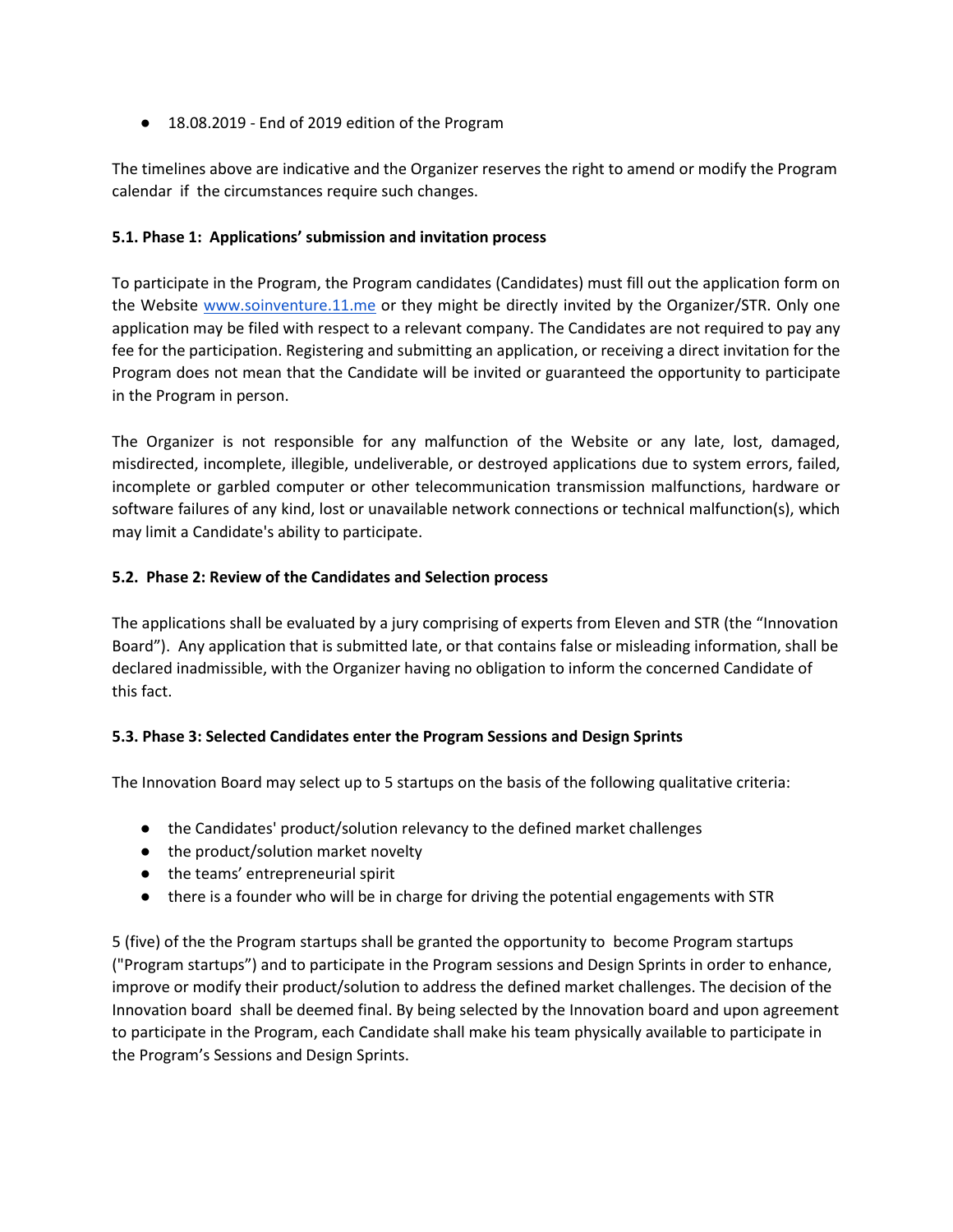● 18.08.2019 - End of 2019 edition of the Program

The timelines above are indicative and the Organizer reserves the right to amend or modify the Program calendar if the circumstances require such changes.

## **5.1. Phase 1: Applications' submission and invitation process**

To participate in the Program, the Program candidates (Candidates) must fill out the application form on the Website [www.soinventure.11.me](http://www.soinventure.11.me/) or they might be directly invited by the Organizer/STR. Only one application may be filed with respect to a relevant company. The Candidates are not required to pay any fee for the participation. Registering and submitting an application, or receiving a direct invitation for the Program does not mean that the Candidate will be invited or guaranteed the opportunity to participate in the Program in person.

The Organizer is not responsible for any malfunction of the Website or any late, lost, damaged, misdirected, incomplete, illegible, undeliverable, or destroyed applications due to system errors, failed, incomplete or garbled computer or other telecommunication transmission malfunctions, hardware or software failures of any kind, lost or unavailable network connections or technical malfunction(s), which may limit a Candidate's ability to participate.

## **5.2. Phase 2: Review of the Candidates and Selection process**

The applications shall be evaluated by a jury comprising of experts from Eleven and STR (the "Innovation Board"). Any application that is submitted late, or that contains false or misleading information, shall be declared inadmissible, with the Organizer having no obligation to inform the concerned Candidate of this fact.

## **5.3. Phase 3: Selected Candidates enter the Program Sessions and Design Sprints**

The Innovation Board may select up to 5 startups on the basis of the following qualitative criteria:

- the Candidates' product/solution relevancy to the defined market challenges
- the product/solution market novelty
- the teams' entrepreneurial spirit
- there is a founder who will be in charge for driving the potential engagements with STR

5 (five) of the the Program startups shall be granted the opportunity to become Program startups ("Program startups") and to participate in the Program sessions and Design Sprints in order to enhance, improve or modify their product/solution to address the defined market challenges. The decision of the Innovation board shall be deemed final. By being selected by the Innovation board and upon agreement to participate in the Program, each Candidate shall make his team physically available to participate in the Program's Sessions and Design Sprints.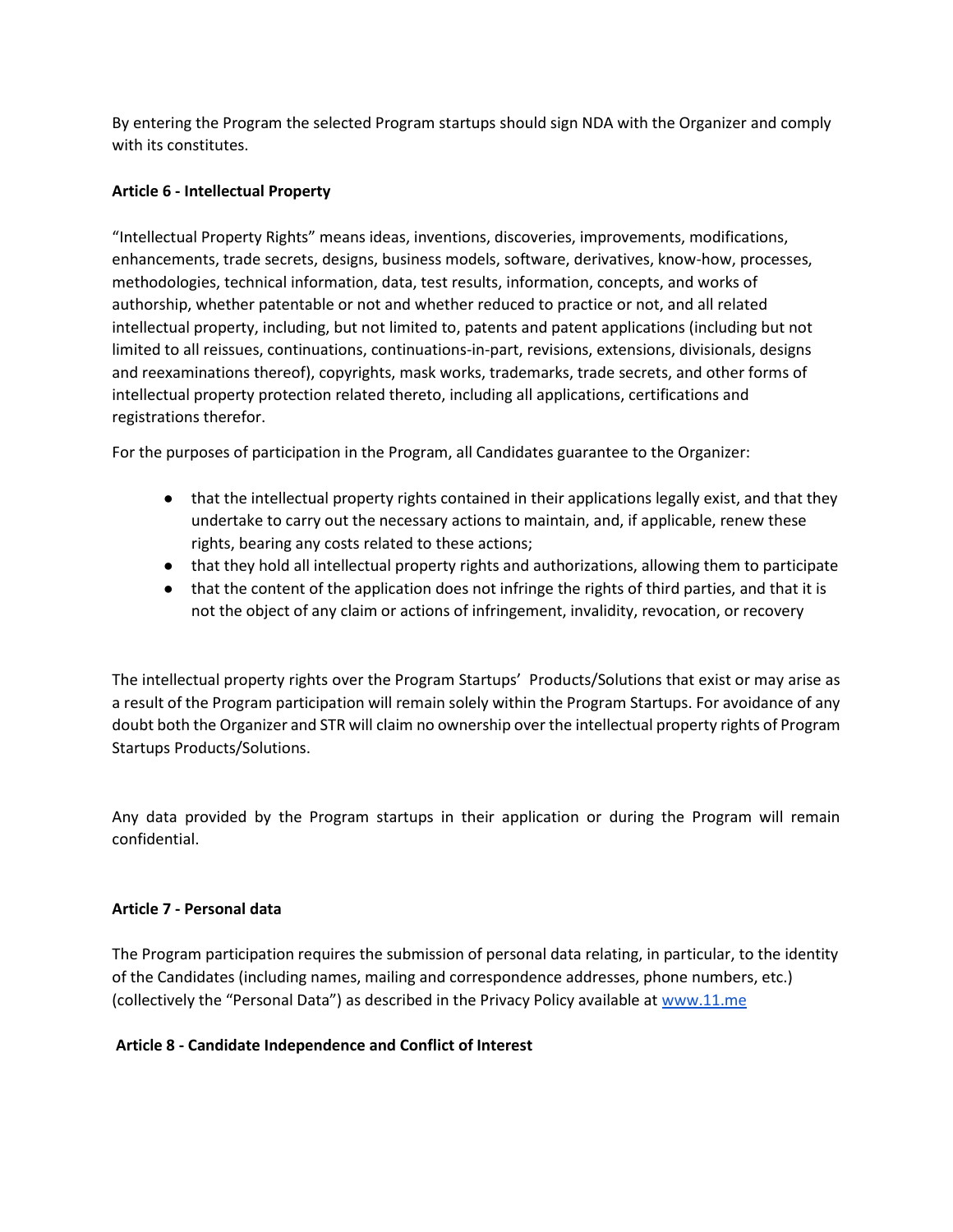By entering the Program the selected Program startups should sign NDA with the Organizer and comply with its constitutes.

### **Article 6 - Intellectual Property**

"Intellectual Property Rights" means ideas, inventions, discoveries, improvements, modifications, enhancements, trade secrets, designs, business models, software, derivatives, know-how, processes, methodologies, technical information, data, test results, information, concepts, and works of authorship, whether patentable or not and whether reduced to practice or not, and all related intellectual property, including, but not limited to, patents and patent applications (including but not limited to all reissues, continuations, continuations-in-part, revisions, extensions, divisionals, designs and reexaminations thereof), copyrights, mask works, trademarks, trade secrets, and other forms of intellectual property protection related thereto, including all applications, certifications and registrations therefor.

For the purposes of participation in the Program, all Candidates guarantee to the Organizer:

- that the intellectual property rights contained in their applications legally exist, and that they undertake to carry out the necessary actions to maintain, and, if applicable, renew these rights, bearing any costs related to these actions;
- that they hold all intellectual property rights and authorizations, allowing them to participate
- that the content of the application does not infringe the rights of third parties, and that it is not the object of any claim or actions of infringement, invalidity, revocation, or recovery

The intellectual property rights over the Program Startups' Products/Solutions that exist or may arise as a result of the Program participation will remain solely within the Program Startups. For avoidance of any doubt both the Organizer and STR will claim no ownership over the intellectual property rights of Program Startups Products/Solutions.

Any data provided by the Program startups in their application or during the Program will remain confidential.

#### **Article 7 - Personal data**

The Program participation requires the submission of personal data relating, in particular, to the identity of the Candidates (including names, mailing and correspondence addresses, phone numbers, etc.) (collectively the "Personal Data") as described in the Privacy Policy available at [www.11.me](http://www.11.me/)

#### **Article 8 - Candidate Independence and Conflict of Interest**